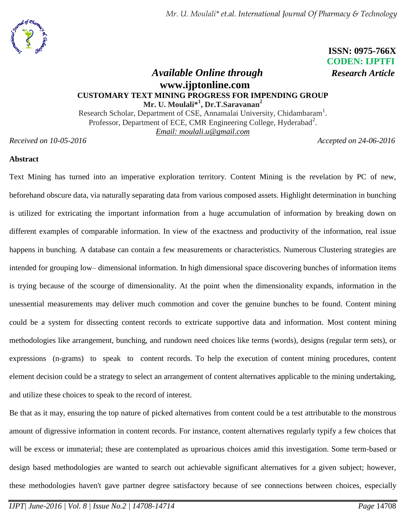

 **ISSN: 0975-766X CODEN: IJPTFI**

# *Available Online through Research Article* **www.ijptonline.com CUSTOMARY TEXT MINING PROGRESS FOR IMPENDING GROUP Mr. U. Moulali\* 1 , Dr.T.Saravanan<sup>2</sup>**

Research Scholar, Department of CSE, Annamalai University, Chidambaram<sup>1</sup>. Professor, Department of ECE, CMR Engineering College, Hyderabad<sup>2</sup>. *Email: [moulali.u@gmail.com](mailto:moulali.u@gmail.com)*

*Received on 10-05-2016 Accepted on 24-06-2016*

# **Abstract**

Text Mining has turned into an imperative exploration territory. Content Mining is the revelation by PC of new, beforehand obscure data, via naturally separating data from various composed assets. Highlight determination in bunching is utilized for extricating the important information from a huge accumulation of information by breaking down on different examples of comparable information. In view of the exactness and productivity of the information, real issue happens in bunching. A database can contain a few measurements or characteristics. Numerous Clustering strategies are intended for grouping low– dimensional information. In high dimensional space discovering bunches of information items is trying because of the scourge of dimensionality. At the point when the dimensionality expands, information in the unessential measurements may deliver much commotion and cover the genuine bunches to be found. Content mining could be a system for dissecting content records to extricate supportive data and information. Most content mining methodologies like arrangement, bunching, and rundown need choices like terms (words), designs (regular term sets), or expressions (n-grams) to speak to content records. To help the execution of content mining procedures, content element decision could be a strategy to select an arrangement of content alternatives applicable to the mining undertaking, and utilize these choices to speak to the record of interest.

Be that as it may, ensuring the top nature of picked alternatives from content could be a test attributable to the monstrous amount of digressive information in content records. For instance, content alternatives regularly typify a few choices that will be excess or immaterial; these are contemplated as uproarious choices amid this investigation. Some term-based or design based methodologies are wanted to search out achievable significant alternatives for a given subject; however, these methodologies haven't gave partner degree satisfactory because of see connections between choices, especially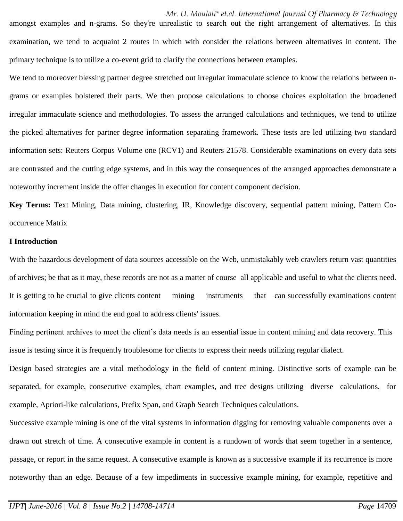amongst examples and n-grams. So they're unrealistic to search out the right arrangement of alternatives. In this examination, we tend to acquaint 2 routes in which with consider the relations between alternatives in content. The primary technique is to utilize a co-event grid to clarify the connections between examples.

We tend to moreover blessing partner degree stretched out irregular immaculate science to know the relations between ngrams or examples bolstered their parts. We then propose calculations to choose choices exploitation the broadened irregular immaculate science and methodologies. To assess the arranged calculations and techniques, we tend to utilize the picked alternatives for partner degree information separating framework. These tests are led utilizing two standard information sets: Reuters Corpus Volume one (RCV1) and Reuters 21578. Considerable examinations on every data sets are contrasted and the cutting edge systems, and in this way the consequences of the arranged approaches demonstrate a noteworthy increment inside the offer changes in execution for content component decision.

**Key Terms:** Text Mining, Data mining, clustering, IR, Knowledge discovery, sequential pattern mining, Pattern Cooccurrence Matrix

#### **I Introduction**

With the hazardous development of data sources accessible on the Web, unmistakably web crawlers return vast quantities of archives; be that as it may, these records are not as a matter of course all applicable and useful to what the clients need. It is getting to be crucial to give clients content mining instruments that can successfully examinations content information keeping in mind the end goal to address clients' issues.

Finding pertinent archives to meet the client's data needs is an essential issue in content mining and data recovery. This issue is testing since it is frequently troublesome for clients to express their needs utilizing regular dialect.

Design based strategies are a vital methodology in the field of content mining. Distinctive sorts of example can be separated, for example, consecutive examples, chart examples, and tree designs utilizing diverse calculations, for example, Apriori-like calculations, Prefix Span, and Graph Search Techniques calculations.

Successive example mining is one of the vital systems in information digging for removing valuable components over a drawn out stretch of time. A consecutive example in content is a rundown of words that seem together in a sentence, passage, or report in the same request. A consecutive example is known as a successive example if its recurrence is more noteworthy than an edge. Because of a few impediments in successive example mining, for example, repetitive and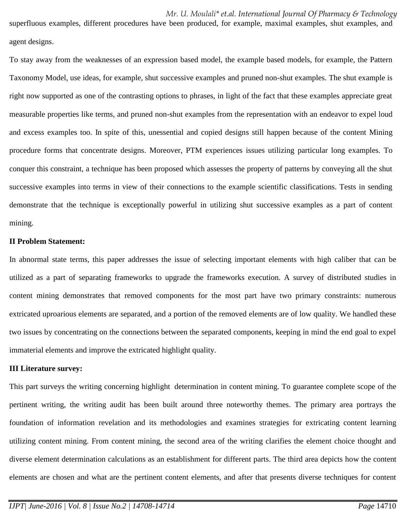superfluous examples, different procedures have been produced, for example, maximal examples, shut examples, and agent designs.

To stay away from the weaknesses of an expression based model, the example based models, for example, the Pattern Taxonomy Model, use ideas, for example, shut successive examples and pruned non-shut examples. The shut example is right now supported as one of the contrasting options to phrases, in light of the fact that these examples appreciate great measurable properties like terms, and pruned non-shut examples from the representation with an endeavor to expel loud and excess examples too. In spite of this, unessential and copied designs still happen because of the content Mining procedure forms that concentrate designs. Moreover, PTM experiences issues utilizing particular long examples. To conquer this constraint, a technique has been proposed which assesses the property of patterns by conveying all the shut successive examples into terms in view of their connections to the example scientific classifications. Tests in sending demonstrate that the technique is exceptionally powerful in utilizing shut successive examples as a part of content mining.

#### **II Problem Statement:**

In abnormal state terms, this paper addresses the issue of selecting important elements with high caliber that can be utilized as a part of separating frameworks to upgrade the frameworks execution. A survey of distributed studies in content mining demonstrates that removed components for the most part have two primary constraints: numerous extricated uproarious elements are separated, and a portion of the removed elements are of low quality. We handled these two issues by concentrating on the connections between the separated components, keeping in mind the end goal to expel immaterial elements and improve the extricated highlight quality.

#### **III Literature survey:**

This part surveys the writing concerning highlight determination in content mining. To guarantee complete scope of the pertinent writing, the writing audit has been built around three noteworthy themes. The primary area portrays the foundation of information revelation and its methodologies and examines strategies for extricating content learning utilizing content mining. From content mining, the second area of the writing clarifies the element choice thought and diverse element determination calculations as an establishment for different parts. The third area depicts how the content elements are chosen and what are the pertinent content elements, and after that presents diverse techniques for content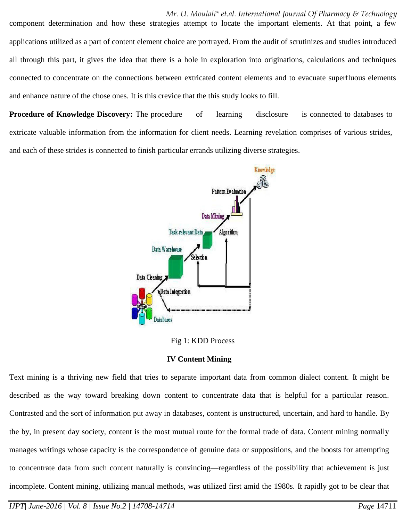*Mr. U. Moulali\* et.al. International Journal Of Pharmacy & Technology* component determination and how these strategies attempt to locate the important elements. At that point, a few applications utilized as a part of content element choice are portrayed. From the audit of scrutinizes and studies introduced all through this part, it gives the idea that there is a hole in exploration into originations, calculations and techniques connected to concentrate on the connections between extricated content elements and to evacuate superfluous elements and enhance nature of the chose ones. It is this crevice that the this study looks to fill.

**Procedure of Knowledge Discovery:** The procedure of learning disclosure is connected to databases to extricate valuable information from the information for client needs. Learning revelation comprises of various strides, and each of these strides is connected to finish particular errands utilizing diverse strategies.



Fig 1: KDD Process

# **IV Content Mining**

Text mining is a thriving new field that tries to separate important data from common dialect content. It might be described as the way toward breaking down content to concentrate data that is helpful for a particular reason. Contrasted and the sort of information put away in databases, content is unstructured, uncertain, and hard to handle. By the by, in present day society, content is the most mutual route for the formal trade of data. Content mining normally manages writings whose capacity is the correspondence of genuine data or suppositions, and the boosts for attempting to concentrate data from such content naturally is convincing—regardless of the possibility that achievement is just incomplete. Content mining, utilizing manual methods, was utilized first amid the 1980s. It rapidly got to be clear that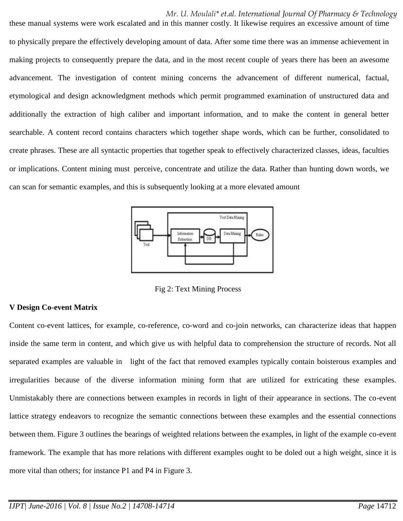these manual systems were work escalated and in this manner costly. It likewise requires an excessive amount of time to physically prepare the effectively developing amount of data. After some time there was an immense achievement in making projects to consequently prepare the data, and in the most recent couple of years there has been an awesome advancement. The investigation of content mining concerns the advancement of different numerical, factual, etymological and design acknowledgment methods which permit programmed examination of unstructured data and additionally the extraction of high caliber and important information, and to make the content in general better searchable. A content record contains characters which together shape words, which can be further, consolidated to create phrases. These are all syntactic properties that together speak to effectively characterized classes, ideas, faculties or implications. Content mining must perceive, concentrate and utilize the data. Rather than hunting down words, we can scan for semantic examples, and this is subsequently looking at a more elevated amount



Fig 2: Text Mining Process

# **V Design Co-event Matrix**

Content co-event lattices, for example, co-reference, co-word and co-join networks, can characterize ideas that happen inside the same term in content, and which give us with helpful data to comprehension the structure of records. Not all separated examples are valuable in light of the fact that removed examples typically contain boisterous examples and irregularities because of the diverse information mining form that are utilized for extricating these examples. Unmistakably there are connections between examples in records in light of their appearance in sections. The co-event lattice strategy endeavors to recognize the semantic connections between these examples and the essential connections between them. Figure 3 outlines the bearings of weighted relations between the examples, in light of the example co-event framework. The example that has more relations with different examples ought to be doled out a high weight, since it is more vital than others; for instance P1 and P4 in Figure 3.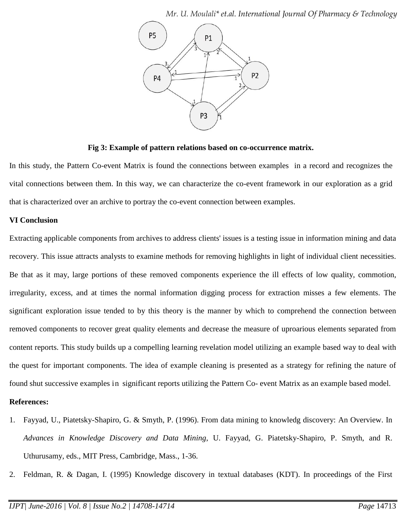

**Fig 3: Example of pattern relations based on co-occurrence matrix.**

In this study, the Pattern Co-event Matrix is found the connections between examples in a record and recognizes the vital connections between them. In this way, we can characterize the co-event framework in our exploration as a grid that is characterized over an archive to portray the co-event connection between examples.

# **VI Conclusion**

Extracting applicable components from archives to address clients' issues is a testing issue in information mining and data recovery. This issue attracts analysts to examine methods for removing highlights in light of individual client necessities. Be that as it may, large portions of these removed components experience the ill effects of low quality, commotion, irregularity, excess, and at times the normal information digging process for extraction misses a few elements. The significant exploration issue tended to by this theory is the manner by which to comprehend the connection between removed components to recover great quality elements and decrease the measure of uproarious elements separated from content reports. This study builds up a compelling learning revelation model utilizing an example based way to deal with the quest for important components. The idea of example cleaning is presented as a strategy for refining the nature of found shut successive examples in significant reports utilizing the Pattern Co- event Matrix as an example based model.

# **References:**

- 1. Fayyad, U., Piatetsky-Shapiro, G. & Smyth, P. (1996). From data mining to knowledg discovery: An Overview. In *Advances in Knowledge Discovery and Data Mining*, U. Fayyad, G. Piatetsky-Shapiro, P. Smyth, and R. Uthurusamy, eds., MIT Press, Cambridge, Mass., 1-36.
- 2. Feldman, R. & Dagan, I. (1995) Knowledge discovery in textual databases (KDT). In proceedings of the First